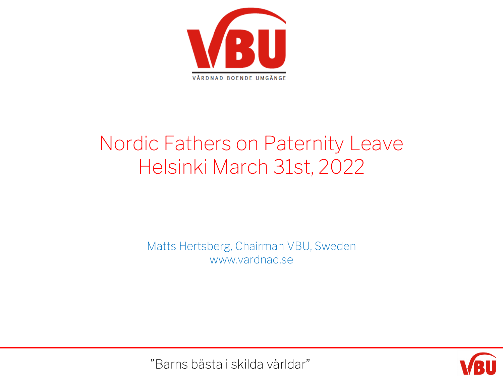

## Nordic Fathers on Paternity Leave Helsinki March 31st, 2022

Matts Hertsberg, Chairman VBU, Sweden www.vardnad.se



"Barns bästa i skilda världar"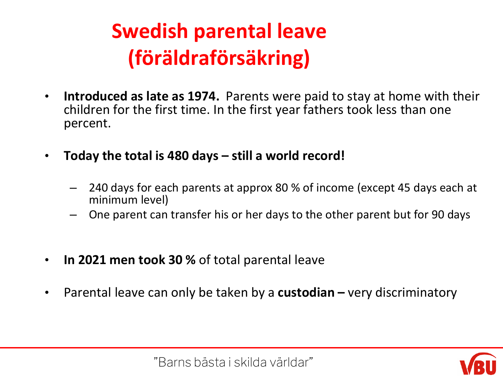## **Swedish parental leave (föräldraförsäkring)**

- **Introduced as late as 1974.** Parents were paid to stay at home with their children for the first time. In the first year fathers took less than one percent.
- **Today the total is 480 days – still a world record!** 
	- 240 days for each parents at approx 80 % of income (except 45 days each at minimum level)
	- One parent can transfer his or her days to the other parent but for 90 days
- **In 2021 men took 30 %** of total parental leave
- Parental leave can only be taken by a **custodian –** very discriminatory

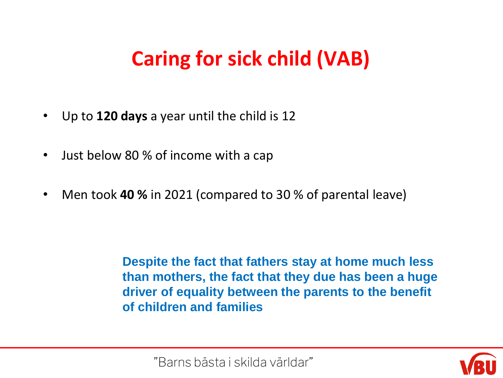## **Caring for sick child (VAB)**

- Up to **120 days** a year until the child is 12
- Just below 80 % of income with a cap
- Men took **40 %** in 2021 (compared to 30 % of parental leave)

**Despite the fact that fathers stay at home much less than mothers, the fact that they due has been a huge driver of equality between the parents to the benefit of children and families**

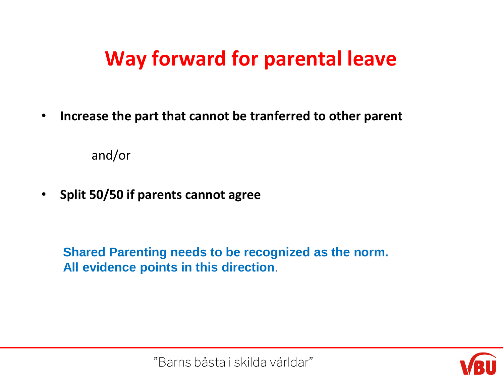## **Way forward for parental leave**

• **Increase the part that cannot be tranferred to other parent**

and/or

• **Split 50/50 if parents cannot agree**

**Shared Parenting needs to be recognized as the norm. All evidence points in this direction**.